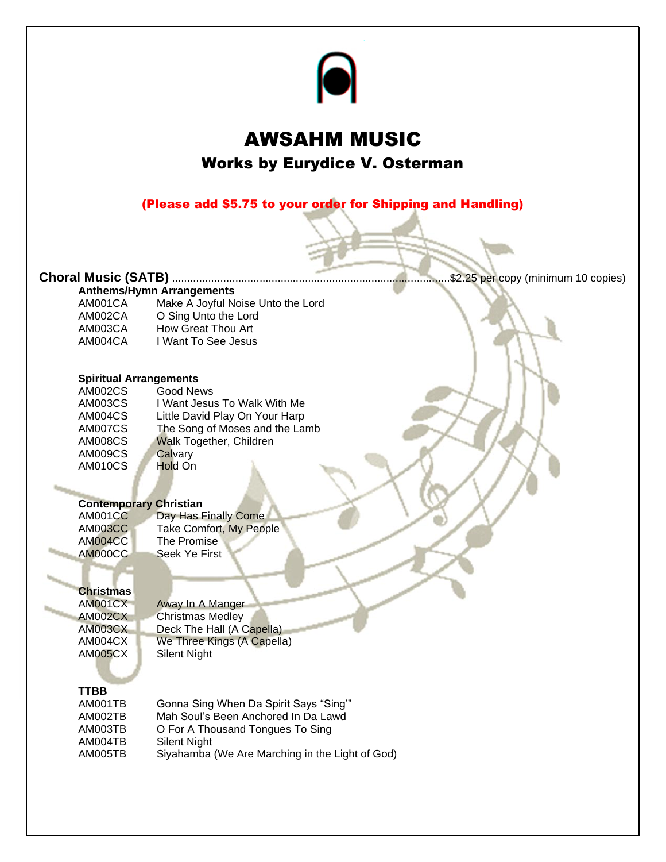

### AWSAHM MUSIC Works by Eurydice V. Osterman

(Please add \$5.75 to your order for Shipping and Handling)

### **Choral Music (SATB)** ............................................................................................\$2.25 per copy (minimum 10 copies)

| <b>Anthems/Hymn Arrangements</b> |                                   |  |
|----------------------------------|-----------------------------------|--|
| AM001CA                          | Make A Joyful Noise Unto the Lord |  |
| AM002CA                          | O Sing Unto the Lord              |  |
| AM003CA                          | How Great Thou Art                |  |
| AM004CA                          | I Want To See Jesus               |  |

#### **Spiritual Arrangements**

| AM002CS        | Good News                      |
|----------------|--------------------------------|
| AM003CS        | I Want Jesus To Walk With Me   |
| AM004CS        | Little David Play On Your Harp |
| AM007CS        | The Song of Moses and the Lamb |
| <b>AM008CS</b> | <b>Walk Together, Children</b> |
| AM009CS        | Calvary                        |
| <b>AM010CS</b> | Hold On                        |
|                |                                |

#### **Contemporary Christian**

| <b>AM001CC</b> | Day Has Finally Come    |
|----------------|-------------------------|
| <b>AM003CC</b> | Take Comfort, My People |
| AM004CC        | The Promise             |
| AM000CC        | Seek Ye First           |

#### **Christmas**

AM001CX Away In A Manger AM002CX Christmas Medley<br>AM003CX Deck The Hall (A C Deck The Hall (A Capella) AM004CX We Three Kings (A Capella)<br>AM005CX Silent Night Silent Night

#### **TTBB**

| AM001TB | Gonna Sing When Da Spirit Says "Sing"           |
|---------|-------------------------------------------------|
| AM002TB | Mah Soul's Been Anchored In Da Lawd             |
| AM003TB | O For A Thousand Tongues To Sing                |
| AM004TB | <b>Silent Night</b>                             |
| AM005TB | Siyahamba (We Are Marching in the Light of God) |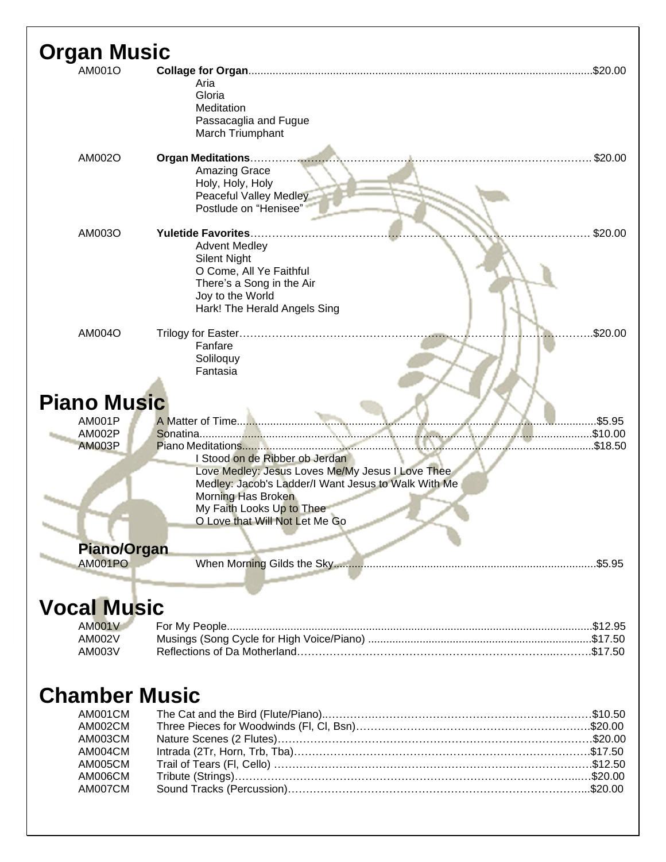| <b>Organ Music</b>                              |                                                                                                                                                                                                                                                  |
|-------------------------------------------------|--------------------------------------------------------------------------------------------------------------------------------------------------------------------------------------------------------------------------------------------------|
| AM001O                                          | \$20.00<br>Aria<br>Gloria<br>Meditation<br>Passacaglia and Fugue<br>March Triumphant                                                                                                                                                             |
| AM002O                                          | \$20.00<br><b>Amazing Grace</b><br>Holy, Holy, Holy<br><b>Peaceful Valley Medley</b><br>Postlude on "Henisee"                                                                                                                                    |
| AM003O                                          | \$20.00<br><b>Yuletide Favorites.</b><br><b>Advent Medley</b><br><b>Silent Night</b><br>O Come, All Ye Faithful<br>There's a Song in the Air<br>Joy to the World<br>Hark! The Herald Angels Sing                                                 |
| AM004O                                          | \$20.00<br>Fanfare<br>Soliloquy<br>Fantasia                                                                                                                                                                                                      |
| <b>Piano Music</b>                              |                                                                                                                                                                                                                                                  |
| <b>AM001P</b><br><b>AM002P</b><br><b>AM003P</b> | A Matter of Time<br>\$5.95<br>\$10.00<br>\$18.50<br>I Stood on de Ribber ob Jerdan<br>Love Medley: Jesus Loves Me/My Jesus I Love Thee<br>Medley: Jacob's Ladder/I Want Jesus to Walk With Me<br>Morning Has Broken<br>My Faith Looks Up to Thee |
|                                                 | O Love that Will Not Let Me Go                                                                                                                                                                                                                   |
| <b>Piano/Organ</b>                              |                                                                                                                                                                                                                                                  |
| <b>AM001PO</b>                                  | When Morning Gilds the Sky<br>.\$5.95                                                                                                                                                                                                            |
| <b>Vocal Music</b>                              |                                                                                                                                                                                                                                                  |

| AMOO1V |  |
|--------|--|
| AM002V |  |
| AM003V |  |

## **Chamber Music**

| AM001CM |  |
|---------|--|
| AM002CM |  |
| AM003CM |  |
| AM004CM |  |
| AM005CM |  |
| AM006CM |  |
| AM007CM |  |